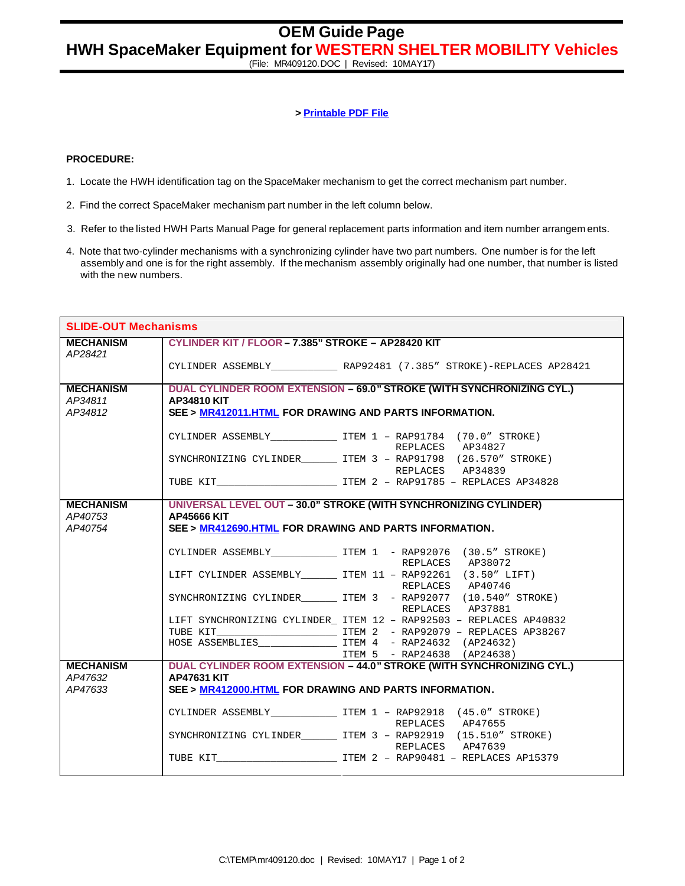## **> Printable PDF File**

## **PROCEDURE:**

- 1. Locate the HWH identification tag on the SpaceMaker mechanism to get the correct mechanism part number.
- 2. Find the correct SpaceMaker mechanism part number in the left column below.
- 3. Refer to the listed HWH Parts Manual Page for general replacement parts information and item number arrangem ents.
- 4. Note that two-cylinder mechanisms with a synchronizing cylinder have two part numbers. One number is for the left assembly and one is for the right assembly. If the mechanism assembly originally had one number, that number is listed with the new numbers.

| <b>SLIDE-OUT Mechanisms</b> |                                                                              |                                                                                  |
|-----------------------------|------------------------------------------------------------------------------|----------------------------------------------------------------------------------|
| <b>MECHANISM</b>            | CYLINDER KIT / FLOOR - 7.385" STROKE - AP28420 KIT                           |                                                                                  |
| AP28421                     |                                                                              | CYLINDER ASSEMBLY______________________RAP92481 (7.385" STROKE)-REPLACES AP28421 |
|                             |                                                                              |                                                                                  |
| <b>MECHANISM</b>            | DUAL CYLINDER ROOM EXTENSION - 69.0" STROKE (WITH SYNCHRONIZING CYL.)        |                                                                                  |
| AP34811<br>AP34812          | <b>AP34810 KIT</b><br>SEE > MR412011.HTML FOR DRAWING AND PARTS INFORMATION. |                                                                                  |
|                             |                                                                              |                                                                                  |
|                             |                                                                              | CYLINDER ASSEMBLY ________________ ITEM 1 - RAP91784 (70.0" STROKE)              |
|                             |                                                                              | REPLACES AP34827                                                                 |
|                             |                                                                              | SYNCHRONIZING CYLINDER ITEM 3 - RAP91798 (26.570" STROKE)<br>REPLACES AP34839    |
|                             |                                                                              |                                                                                  |
|                             |                                                                              |                                                                                  |
| <b>MECHANISM</b>            |                                                                              | UNIVERSAL LEVEL OUT - 30.0" STROKE (WITH SYNCHRONIZING CYLINDER)                 |
| AP40753<br>AP40754          | <b>AP45666 KIT</b>                                                           |                                                                                  |
|                             | SEE > MR412690.HTML FOR DRAWING AND PARTS INFORMATION.                       |                                                                                  |
|                             |                                                                              | CYLINDER ASSEMBLY________________ ITEM 1 - RAP92076 (30.5" STROKE)               |
|                             |                                                                              | REPLACES AP38072                                                                 |
|                             |                                                                              | LIFT CYLINDER ASSEMBLY________ ITEM 11 - RAP92261 (3.50" LIFT)                   |
|                             |                                                                              | REPLACES AP40746                                                                 |
|                             |                                                                              | SYNCHRONIZING CYLINDER ITEM 3 - RAP92077 (10.540" STROKE)<br>REPLACES AP37881    |
|                             |                                                                              | LIFT SYNCHRONIZING CYLINDER ITEM 12 - RAP92503 - REPLACES AP40832                |
|                             |                                                                              |                                                                                  |
|                             |                                                                              |                                                                                  |
|                             |                                                                              | ITEM 5 - RAP24638 (AP24638)                                                      |
| <b>MECHANISM</b>            | DUAL CYLINDER ROOM EXTENSION - 44.0" STROKE (WITH SYNCHRONIZING CYL.)        |                                                                                  |
| AP47632                     | <b>AP47631 KIT</b>                                                           |                                                                                  |
| AP47633                     | SEE > MR412000.HTML FOR DRAWING AND PARTS INFORMATION.                       |                                                                                  |
|                             |                                                                              | CYLINDER ASSEMBLY ________________ ITEM 1 - RAP92918 (45.0" STROKE)              |
|                             |                                                                              | REPLACES AP47655                                                                 |
|                             |                                                                              | SYNCHRONIZING CYLINDER _______ ITEM 3 - RAP92919 (15.510" STROKE)                |
|                             |                                                                              | REPLACES AP47639                                                                 |
|                             |                                                                              |                                                                                  |
|                             |                                                                              |                                                                                  |